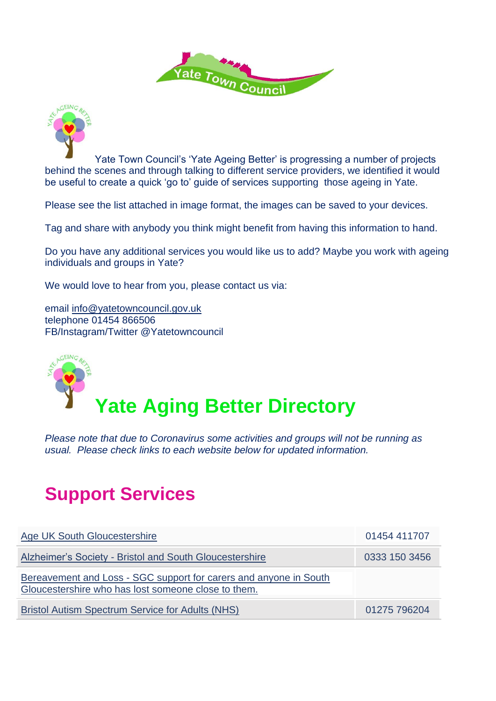



Yate Town Council's 'Yate Ageing Better' is progressing a number of projects behind the scenes and through talking to different service providers, we identified it would be useful to create a quick 'go to' guide of services supporting those ageing in Yate.

Please see the list attached in image format, the images can be saved to your devices.

Tag and share with anybody you think might benefit from having this information to hand.

Do you have any additional services you would like us to add? Maybe you work with ageing individuals and groups in Yate?

We would love to hear from you, please contact us via:

email [info@yatetowncouncil.gov.uk](mailto:info@yatetowncouncil.gov.uk) telephone 01454 866506 FB/Instagram/Twitter @Yatetowncouncil



*Please note that due to Coronavirus some activities and groups will not be running as usual. Please check links to each website below for updated information.*

### **Support Services**

| <b>Age UK South Gloucestershire</b>                                                                                      | 01454 411707  |
|--------------------------------------------------------------------------------------------------------------------------|---------------|
| Alzheimer's Society - Bristol and South Gloucestershire                                                                  | 0333 150 3456 |
| Bereavement and Loss - SGC support for carers and anyone in South<br>Gloucestershire who has lost someone close to them. |               |
| <b>Bristol Autism Spectrum Service for Adults (NHS)</b>                                                                  | 01275 796204  |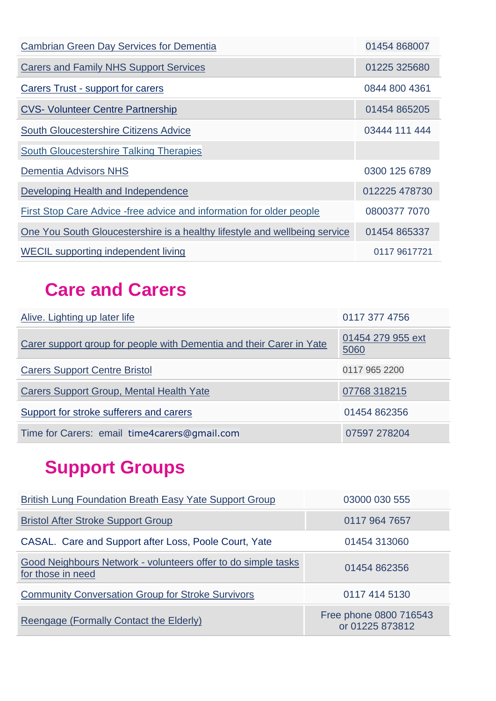| <b>Cambrian Green Day Services for Dementia</b>                            | 01454 868007  |
|----------------------------------------------------------------------------|---------------|
| <b>Carers and Family NHS Support Services</b>                              | 01225 325680  |
| <b>Carers Trust - support for carers</b>                                   | 0844 800 4361 |
| <b>CVS- Volunteer Centre Partnership</b>                                   | 01454 865205  |
| <b>South Gloucestershire Citizens Advice</b>                               | 03444 111 444 |
| <b>South Gloucestershire Talking Therapies</b>                             |               |
| <b>Dementia Advisors NHS</b>                                               | 0300 125 6789 |
| Developing Health and Independence                                         | 012225 478730 |
| First Stop Care Advice - free advice and information for older people      | 0800377 7070  |
| One You South Gloucestershire is a healthy lifestyle and wellbeing service | 01454 865337  |
| <b>WECIL</b> supporting independent living                                 | 0117 9617721  |

### **Care and Carers**

| Alive. Lighting up later life                                        | 0117 377 4756             |
|----------------------------------------------------------------------|---------------------------|
| Carer support group for people with Dementia and their Carer in Yate | 01454 279 955 ext<br>5060 |
| <b>Carers Support Centre Bristol</b>                                 | 0117 965 2200             |
| Carers Support Group, Mental Health Yate                             | 07768 318215              |
| Support for stroke sufferers and carers                              | 01454 862356              |
| Time for Carers: email time4carers@gmail.com                         | 07597 278204              |

# **Support Groups**

| British Lung Foundation Breath Easy Yate Support Group                             | 03000 030 555                             |
|------------------------------------------------------------------------------------|-------------------------------------------|
| <b>Bristol After Stroke Support Group</b>                                          | 0117 964 7657                             |
| CASAL. Care and Support after Loss, Poole Court, Yate                              | 01454 313060                              |
| Good Neighbours Network - volunteers offer to do simple tasks<br>for those in need | 01454 862356                              |
| <b>Community Conversation Group for Stroke Survivors</b>                           | 0117 414 5130                             |
| Reengage (Formally Contact the Elderly)                                            | Free phone 0800 716543<br>or 01225 873812 |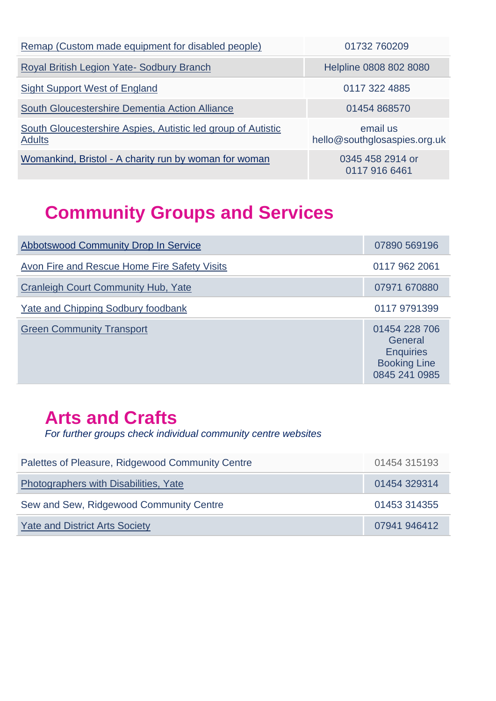| Remap (Custom made equipment for disabled people)                             | 01732 760209                             |
|-------------------------------------------------------------------------------|------------------------------------------|
| Royal British Legion Yate- Sodbury Branch                                     | Helpline 0808 802 8080                   |
| <b>Sight Support West of England</b>                                          | 0117 322 4885                            |
| South Gloucestershire Dementia Action Alliance                                | 01454 868570                             |
| South Gloucestershire Aspies, Autistic led group of Autistic<br><b>Adults</b> | email us<br>hello@southglosaspies.org.uk |
| Womankind, Bristol - A charity run by woman for woman                         | 0345 458 2914 or<br>0117 916 6461        |

### **Community Groups and Services**

| <b>Abbotswood Community Drop In Service</b>  | 07890 569196                                                                         |
|----------------------------------------------|--------------------------------------------------------------------------------------|
| Avon Fire and Rescue Home Fire Safety Visits | 0117 962 2061                                                                        |
| <b>Cranleigh Court Community Hub, Yate</b>   | 07971 670880                                                                         |
| Yate and Chipping Sodbury foodbank           | 0117 9791399                                                                         |
| <b>Green Community Transport</b>             | 01454 228 706<br>General<br><b>Enquiries</b><br><b>Booking Line</b><br>0845 241 0985 |

#### **Arts and Crafts**

*For further groups check individual community centre websites*

| Palettes of Pleasure, Ridgewood Community Centre | 01454 315193 |
|--------------------------------------------------|--------------|
| Photographers with Disabilities, Yate            | 01454 329314 |
| Sew and Sew, Ridgewood Community Centre          | 01453 314355 |
| <b>Yate and District Arts Society</b>            | 07941 946412 |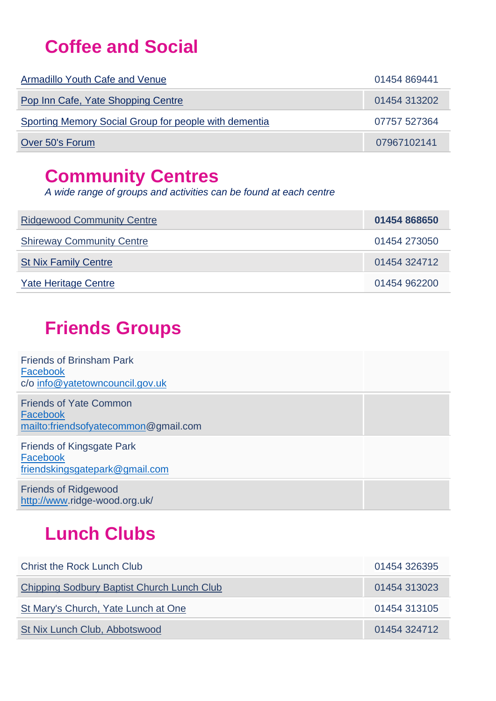### **Coffee and Social**

| Armadillo Youth Cafe and Venue                        | 01454 869441 |
|-------------------------------------------------------|--------------|
| Pop Inn Cafe, Yate Shopping Centre                    | 01454 313202 |
| Sporting Memory Social Group for people with dementia | 07757 527364 |
| Over 50's Forum                                       | 07967102141  |

#### **Community Centres**

*A wide range of groups and activities can be found at each centre*

| <b>Ridgewood Community Centre</b> | 01454 868650 |
|-----------------------------------|--------------|
| <b>Shireway Community Centre</b>  | 01454 273050 |
| <b>St Nix Family Centre</b>       | 01454 324712 |
| Yate Heritage Centre              | 01454 962200 |

#### **Friends Groups**

| <b>Friends of Brinsham Park</b><br>Facebook<br>c/o info@yatetowncouncil.gov.uk    |  |
|-----------------------------------------------------------------------------------|--|
| <b>Friends of Yate Common</b><br>Facebook<br>mailto:friendsofyatecommon@gmail.com |  |
| <b>Friends of Kingsgate Park</b><br>Facebook<br>friendskingsgatepark@gmail.com    |  |
| <b>Friends of Ridgewood</b><br>http://www.ridge-wood.org.uk/                      |  |

### **Lunch Clubs**

| <b>Christ the Rock Lunch Club</b>          | 01454 326395 |
|--------------------------------------------|--------------|
| Chipping Sodbury Baptist Church Lunch Club | 01454 313023 |
| St Mary's Church, Yate Lunch at One        | 01454 313105 |
| St Nix Lunch Club, Abbotswood              | 01454 324712 |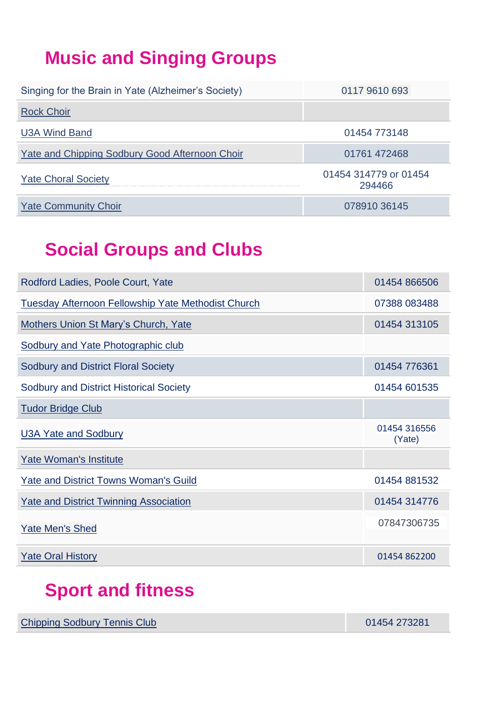## **Music and Singing Groups**

| Singing for the Brain in Yate (Alzheimer's Society) | 0117 9610 693                   |
|-----------------------------------------------------|---------------------------------|
| <b>Rock Choir</b>                                   |                                 |
| <b>U3A Wind Band</b>                                | 01454 773148                    |
| Yate and Chipping Sodbury Good Afternoon Choir      | 01761 472468                    |
| <b>Yate Choral Society</b>                          | 01454 314779 or 01454<br>294466 |
| <b>Yate Community Choir</b>                         | 078910 36145                    |

#### **Social Groups and Clubs**

| Rodford Ladies, Poole Court, Yate                         | 01454 866506           |
|-----------------------------------------------------------|------------------------|
| <b>Tuesday Afternoon Fellowship Yate Methodist Church</b> | 07388 083488           |
| <b>Mothers Union St Mary's Church, Yate</b>               | 01454 313105           |
| <b>Sodbury and Yate Photographic club</b>                 |                        |
| <b>Sodbury and District Floral Society</b>                | 01454 776361           |
| <b>Sodbury and District Historical Society</b>            | 01454 601535           |
| <b>Tudor Bridge Club</b>                                  |                        |
|                                                           |                        |
| <b>U3A Yate and Sodbury</b>                               | 01454 316556<br>(Yate) |
| Yate Woman's Institute                                    |                        |
| <b>Yate and District Towns Woman's Guild</b>              | 01454 881532           |
| <b>Yate and District Twinning Association</b>             | 01454 314776           |
| <b>Yate Men's Shed</b>                                    | 07847306735            |

#### **Sport and fitness**

[Chipping Sodbury Tennis Club](http://www.sodburytennisclub.org.uk/) 01454 273281